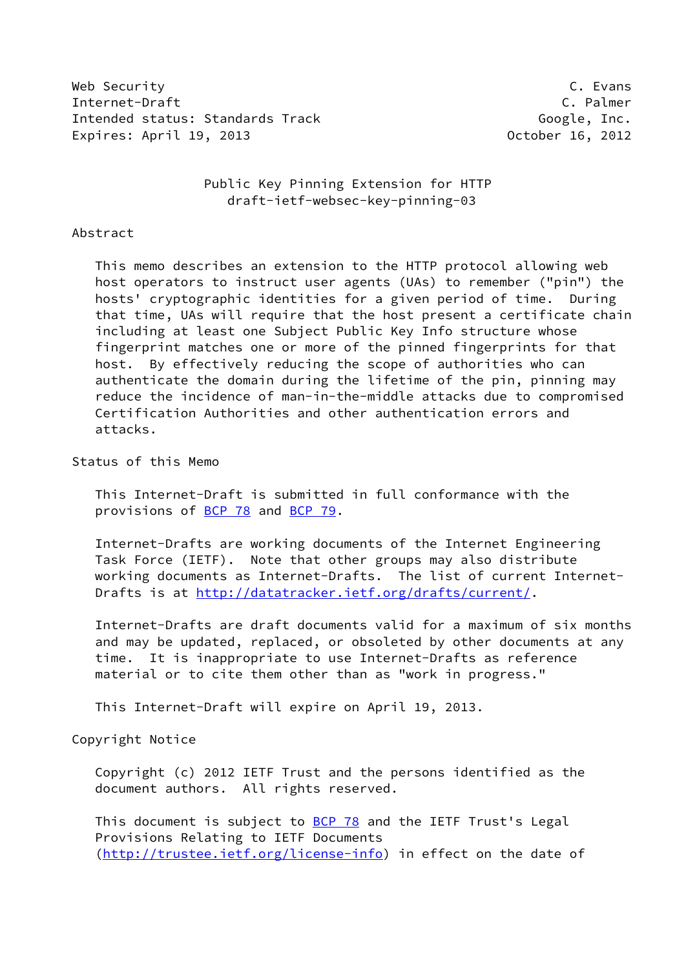Web Security C. Evans Internet-Draft C. Palmer Intended status: Standards Track Google, Inc. Expires: April 19, 2013 October 16, 2012

 Public Key Pinning Extension for HTTP draft-ietf-websec-key-pinning-03

#### Abstract

 This memo describes an extension to the HTTP protocol allowing web host operators to instruct user agents (UAs) to remember ("pin") the hosts' cryptographic identities for a given period of time. During that time, UAs will require that the host present a certificate chain including at least one Subject Public Key Info structure whose fingerprint matches one or more of the pinned fingerprints for that host. By effectively reducing the scope of authorities who can authenticate the domain during the lifetime of the pin, pinning may reduce the incidence of man-in-the-middle attacks due to compromised Certification Authorities and other authentication errors and attacks.

Status of this Memo

 This Internet-Draft is submitted in full conformance with the provisions of [BCP 78](https://datatracker.ietf.org/doc/pdf/bcp78) and [BCP 79](https://datatracker.ietf.org/doc/pdf/bcp79).

 Internet-Drafts are working documents of the Internet Engineering Task Force (IETF). Note that other groups may also distribute working documents as Internet-Drafts. The list of current Internet- Drafts is at<http://datatracker.ietf.org/drafts/current/>.

 Internet-Drafts are draft documents valid for a maximum of six months and may be updated, replaced, or obsoleted by other documents at any time. It is inappropriate to use Internet-Drafts as reference material or to cite them other than as "work in progress."

This Internet-Draft will expire on April 19, 2013.

Copyright Notice

 Copyright (c) 2012 IETF Trust and the persons identified as the document authors. All rights reserved.

This document is subject to **[BCP 78](https://datatracker.ietf.org/doc/pdf/bcp78)** and the IETF Trust's Legal Provisions Relating to IETF Documents [\(http://trustee.ietf.org/license-info](http://trustee.ietf.org/license-info)) in effect on the date of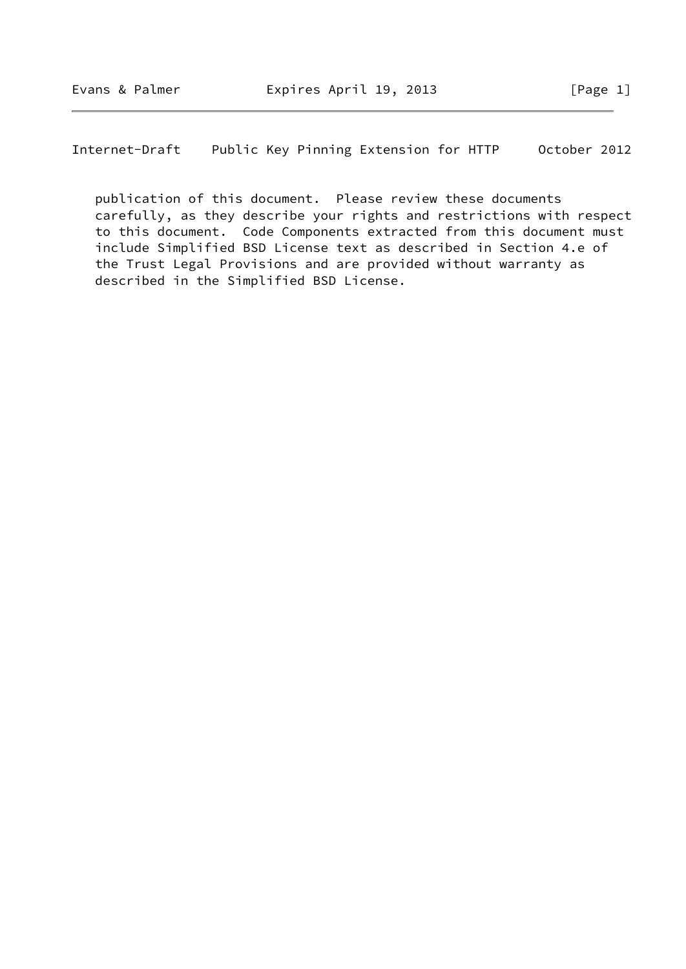publication of this document. Please review these documents carefully, as they describe your rights and restrictions with respect to this document. Code Components extracted from this document must include Simplified BSD License text as described in Section 4.e of the Trust Legal Provisions and are provided without warranty as described in the Simplified BSD License.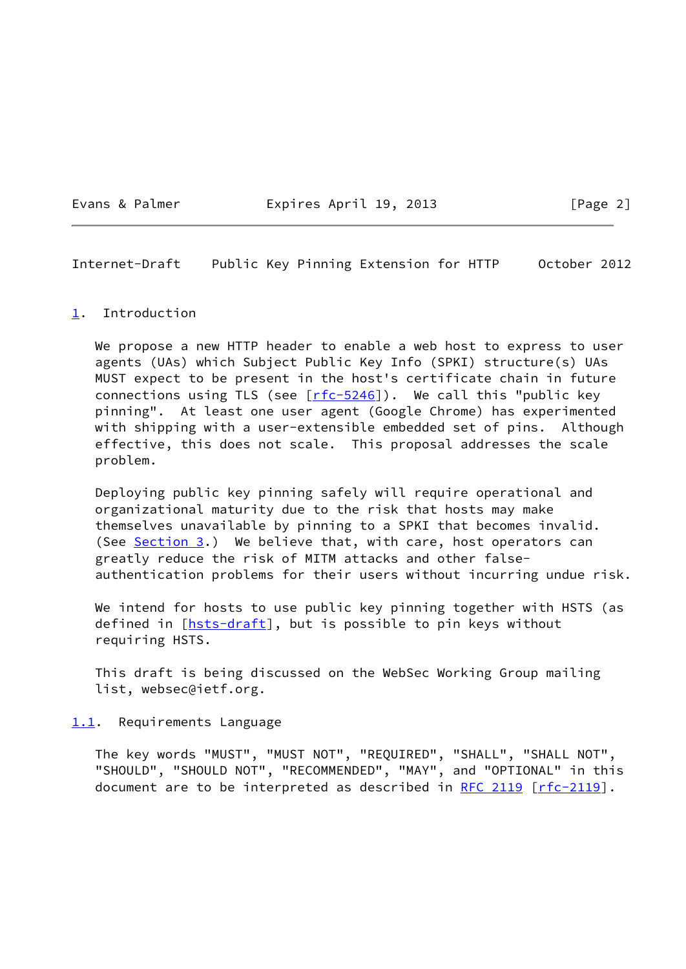Evans & Palmer **Expires April 19, 2013** [Page 2]

Internet-Draft Public Key Pinning Extension for HTTP October 2012

#### <span id="page-2-0"></span>[1](#page-2-0). Introduction

 We propose a new HTTP header to enable a web host to express to user agents (UAs) which Subject Public Key Info (SPKI) structure(s) UAs MUST expect to be present in the host's certificate chain in future connections using TLS (see  $[rfc-5246]$  $[rfc-5246]$ ). We call this "public key pinning". At least one user agent (Google Chrome) has experimented with shipping with a user-extensible embedded set of pins. Although effective, this does not scale. This proposal addresses the scale problem.

 Deploying public key pinning safely will require operational and organizational maturity due to the risk that hosts may make themselves unavailable by pinning to a SPKI that becomes invalid. (See [Section 3](#page-7-0).) We believe that, with care, host operators can greatly reduce the risk of MITM attacks and other false authentication problems for their users without incurring undue risk.

We intend for hosts to use public key pinning together with HSTS (as defined in  $[{\text{hsts-draft}}]$ , but is possible to pin keys without requiring HSTS.

 This draft is being discussed on the WebSec Working Group mailing list, websec@ietf.org.

<span id="page-2-1"></span>[1.1](#page-2-1). Requirements Language

 The key words "MUST", "MUST NOT", "REQUIRED", "SHALL", "SHALL NOT", "SHOULD", "SHOULD NOT", "RECOMMENDED", "MAY", and "OPTIONAL" in this document are to be interpreted as described in [RFC 2119 \[rfc-2119](https://datatracker.ietf.org/doc/pdf/rfc2119)].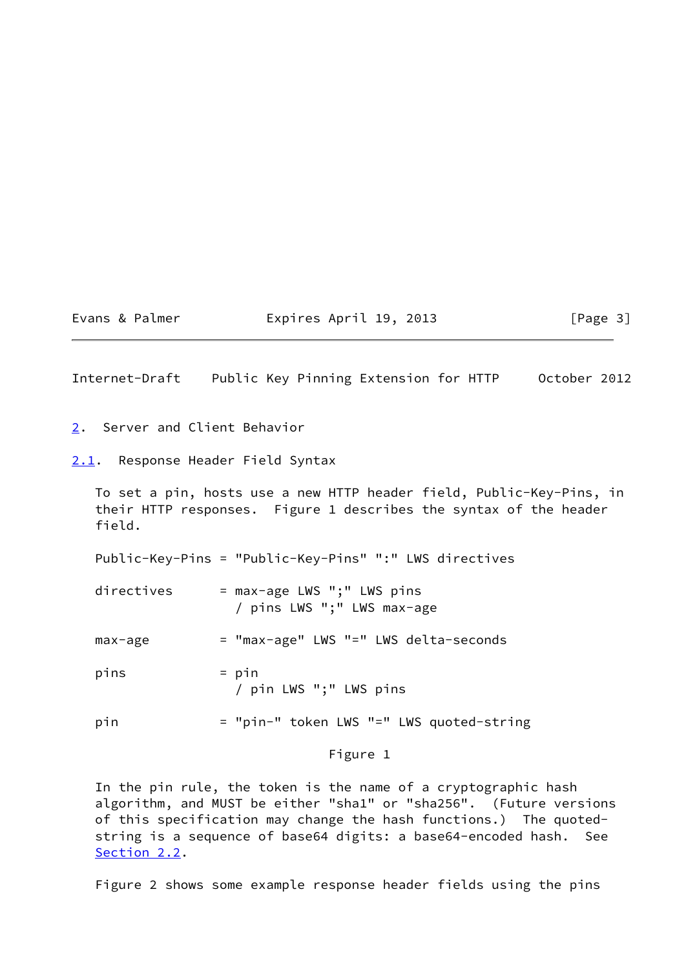#### Evans & Palmer **Expires April 19, 2013** [Page 3]

Internet-Draft Public Key Pinning Extension for HTTP October 2012

- <span id="page-3-0"></span>[2](#page-3-0). Server and Client Behavior
- <span id="page-3-1"></span>[2.1](#page-3-1). Response Header Field Syntax

 To set a pin, hosts use a new HTTP header field, Public-Key-Pins, in their HTTP responses. Figure 1 describes the syntax of the header field.

Public-Key-Pins = "Public-Key-Pins" ":" LWS directives

- directives  $=$  max-age LWS ";" LWS pins / pins LWS ";" LWS max-age
- max-age = "max-age" LWS "=" LWS delta-seconds
- $pins$  =  $pin$ / pin LWS ";" LWS pins
- pin = "pin-" token LWS "=" LWS quoted-string

# Figure 1

 In the pin rule, the token is the name of a cryptographic hash algorithm, and MUST be either "sha1" or "sha256". (Future versions of this specification may change the hash functions.) The quoted string is a sequence of base64 digits: a base64-encoded hash. See [Section 2.2](#page-4-0).

Figure 2 shows some example response header fields using the pins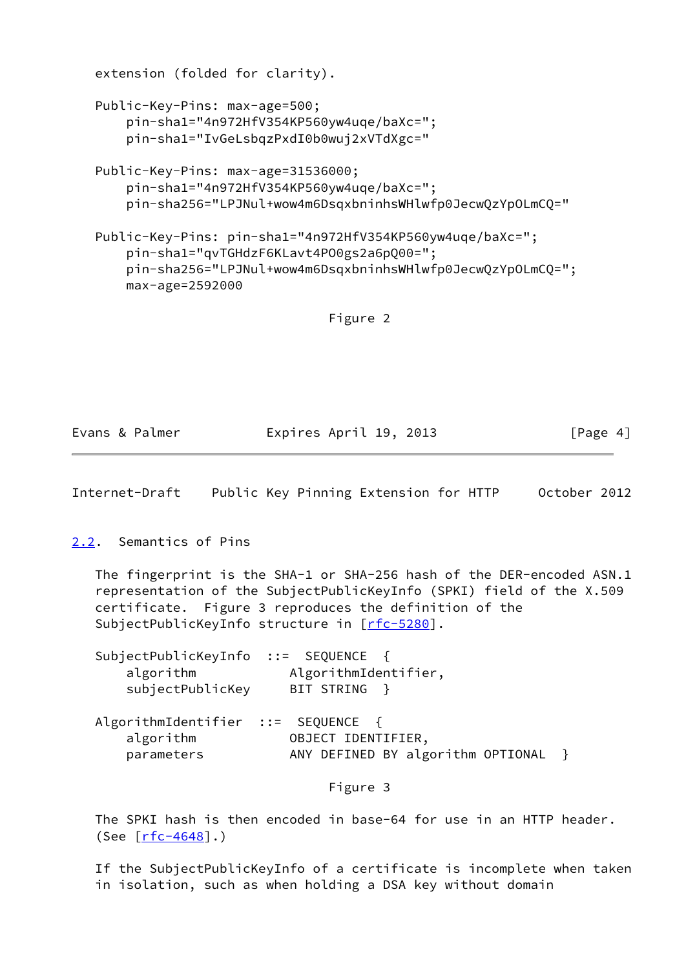```
 extension (folded for clarity).
Public-Key-Pins: max-age=500;
    pin-sha1="4n972HfV354KP560yw4uqe/baXc=";
    pin-sha1="IvGeLsbqzPxdI0b0wuj2xVTdXgc="
Public-Key-Pins: max-age=31536000;
    pin-sha1="4n972HfV354KP560yw4uqe/baXc=";
    pin-sha256="LPJNul+wow4m6DsqxbninhsWHlwfp0JecwQzYpOLmCQ="
Public-Key-Pins: pin-sha1="4n972HfV354KP560yw4uqe/baXc=";
    pin-sha1="qvTGHdzF6KLavt4PO0gs2a6pQ00=";
    pin-sha256="LPJNul+wow4m6DsqxbninhsWHlwfp0JecwQzYpOLmCQ=";
    max-age=2592000
```
Figure 2

| Evans & Palmer | Expires April 19, 2013 | [Page 4] |
|----------------|------------------------|----------|
|                |                        |          |

Internet-Draft Public Key Pinning Extension for HTTP October 2012

<span id="page-4-0"></span>[2.2](#page-4-0). Semantics of Pins

 The fingerprint is the SHA-1 or SHA-256 hash of the DER-encoded ASN.1 representation of the SubjectPublicKeyInfo (SPKI) field of the X.509 certificate. Figure 3 reproduces the definition of the SubjectPublicKeyInfo structure in [[rfc-5280\]](https://datatracker.ietf.org/doc/pdf/rfc5280).

| SubjectPublicKeyInfo ::= SEQUENCE {<br>algorithm       | AlgorithmIdentifier,                |  |
|--------------------------------------------------------|-------------------------------------|--|
| subjectPublicKey<br>AlgorithmIdentifier ::= SEQUENCE { | BIT STRING }                        |  |
|                                                        |                                     |  |
| algorithm                                              | OBJECT IDENTIFIER,                  |  |
| parameters                                             | ANY DEFINED BY algorithm OPTIONAL } |  |

Figure 3

 The SPKI hash is then encoded in base-64 for use in an HTTP header. (See  $[rfc-4648]$  $[rfc-4648]$ .)

 If the SubjectPublicKeyInfo of a certificate is incomplete when taken in isolation, such as when holding a DSA key without domain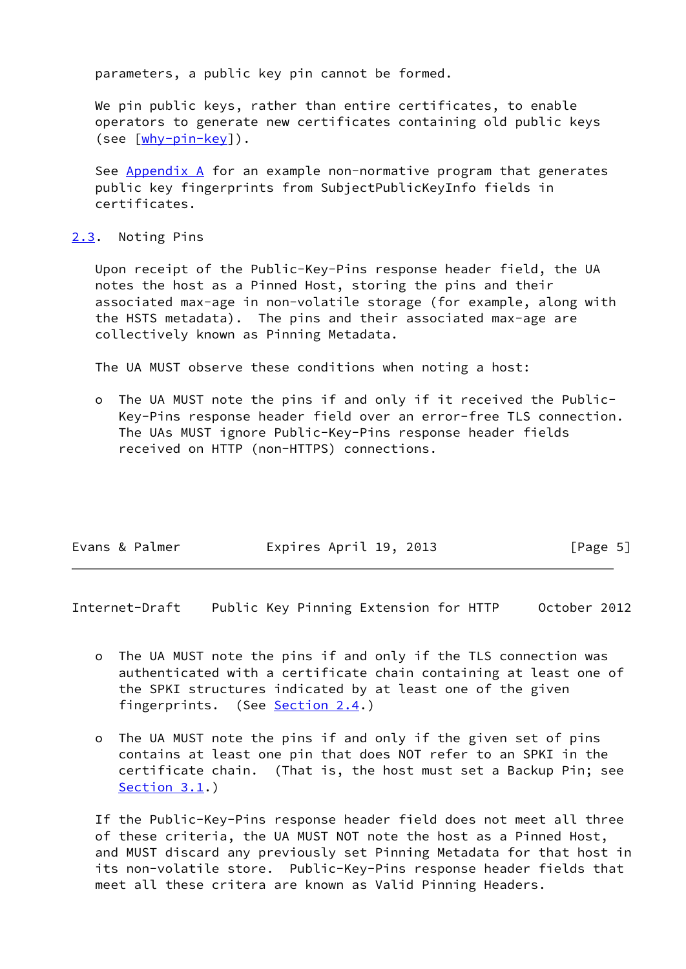parameters, a public key pin cannot be formed.

 We pin public keys, rather than entire certificates, to enable operators to generate new certificates containing old public keys (see  $[\frac{why-pin-key}{$ ).

 See [Appendix A](#page-15-0) for an example non-normative program that generates public key fingerprints from SubjectPublicKeyInfo fields in certificates.

### <span id="page-5-0"></span>[2.3](#page-5-0). Noting Pins

 Upon receipt of the Public-Key-Pins response header field, the UA notes the host as a Pinned Host, storing the pins and their associated max-age in non-volatile storage (for example, along with the HSTS metadata). The pins and their associated max-age are collectively known as Pinning Metadata.

The UA MUST observe these conditions when noting a host:

The UA MUST note the pins if and only if it received the Public- Key-Pins response header field over an error-free TLS connection. The UAs MUST ignore Public-Key-Pins response header fields received on HTTP (non-HTTPS) connections.

| Evans & Palmer | Expires April 19, 2013 | [Page 5] |
|----------------|------------------------|----------|
|                |                        |          |

Internet-Draft Public Key Pinning Extension for HTTP October 2012

- o The UA MUST note the pins if and only if the TLS connection was authenticated with a certificate chain containing at least one of the SPKI structures indicated by at least one of the given fingerprints. (See [Section 2.4](#page-6-0).)
- o The UA MUST note the pins if and only if the given set of pins contains at least one pin that does NOT refer to an SPKI in the certificate chain. (That is, the host must set a Backup Pin; see [Section 3.1](#page-8-0).)

 If the Public-Key-Pins response header field does not meet all three of these criteria, the UA MUST NOT note the host as a Pinned Host, and MUST discard any previously set Pinning Metadata for that host in its non-volatile store. Public-Key-Pins response header fields that meet all these critera are known as Valid Pinning Headers.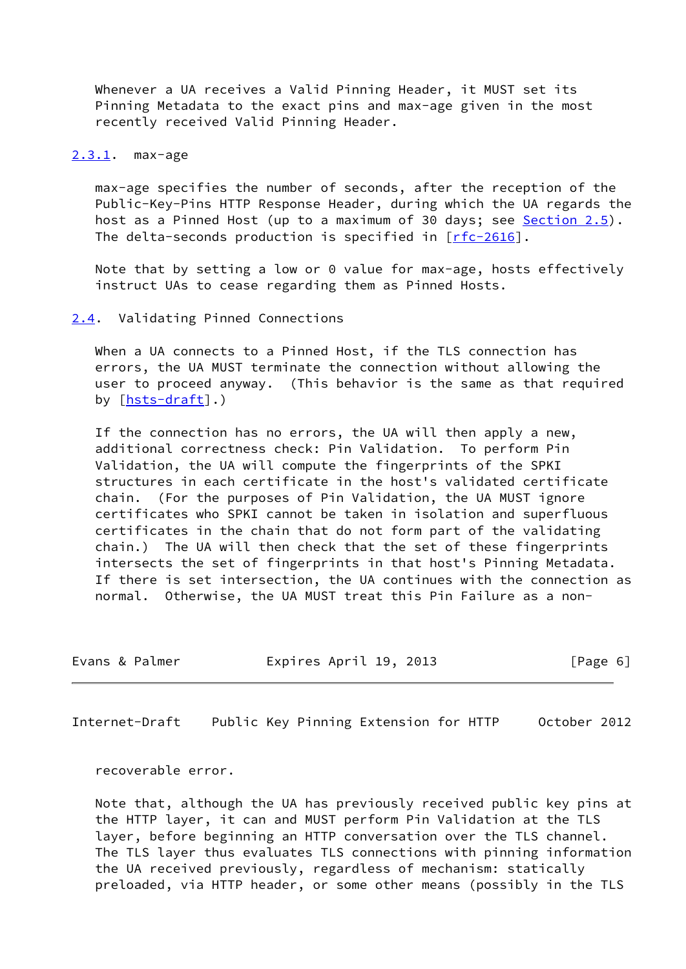Whenever a UA receives a Valid Pinning Header, it MUST set its Pinning Metadata to the exact pins and max-age given in the most recently received Valid Pinning Header.

<span id="page-6-1"></span>[2.3.1](#page-6-1). max-age

 max-age specifies the number of seconds, after the reception of the Public-Key-Pins HTTP Response Header, during which the UA regards the host as a Pinned Host (up to a maximum of 30 days; see [Section 2.5](#page-7-1)). The delta-seconds production is specified in  $[rfc-2616]$  $[rfc-2616]$ .

 Note that by setting a low or 0 value for max-age, hosts effectively instruct UAs to cease regarding them as Pinned Hosts.

### <span id="page-6-0"></span>[2.4](#page-6-0). Validating Pinned Connections

When a UA connects to a Pinned Host, if the TLS connection has errors, the UA MUST terminate the connection without allowing the user to proceed anyway. (This behavior is the same as that required by [[hsts-draft\]](#page-13-0).)

 If the connection has no errors, the UA will then apply a new, additional correctness check: Pin Validation. To perform Pin Validation, the UA will compute the fingerprints of the SPKI structures in each certificate in the host's validated certificate chain. (For the purposes of Pin Validation, the UA MUST ignore certificates who SPKI cannot be taken in isolation and superfluous certificates in the chain that do not form part of the validating chain.) The UA will then check that the set of these fingerprints intersects the set of fingerprints in that host's Pinning Metadata. If there is set intersection, the UA continues with the connection as normal. Otherwise, the UA MUST treat this Pin Failure as a non-

| Evans & Palmer | Expires April 19, 2013 | [Page 6] |
|----------------|------------------------|----------|

Internet-Draft Public Key Pinning Extension for HTTP October 2012

recoverable error.

 Note that, although the UA has previously received public key pins at the HTTP layer, it can and MUST perform Pin Validation at the TLS layer, before beginning an HTTP conversation over the TLS channel. The TLS layer thus evaluates TLS connections with pinning information the UA received previously, regardless of mechanism: statically preloaded, via HTTP header, or some other means (possibly in the TLS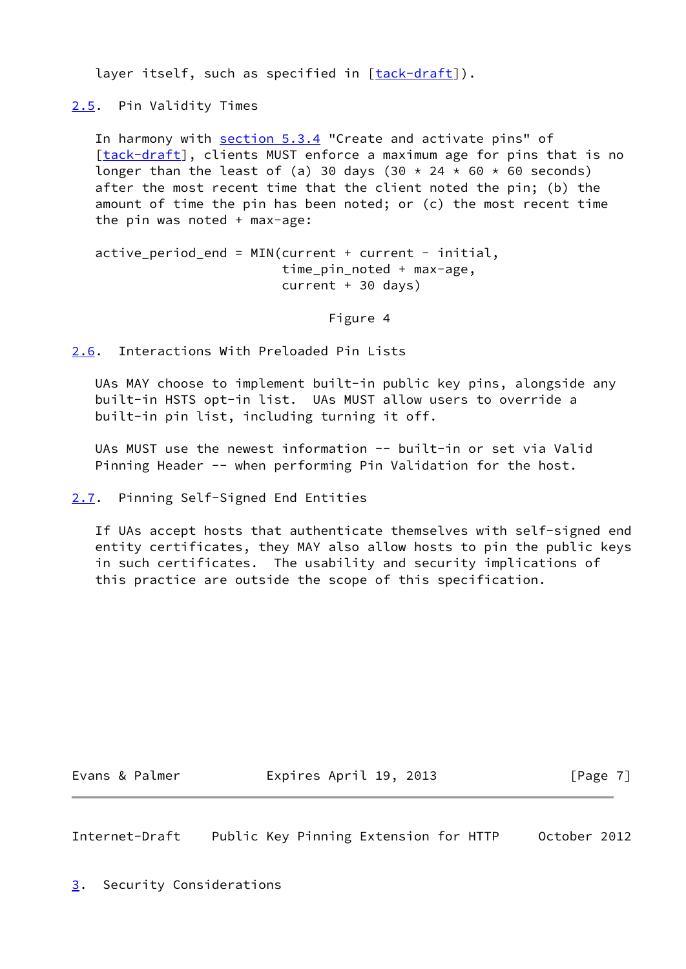layer itself, such as specified in  $[tack-draft]$  $[tack-draft]$ ).

<span id="page-7-1"></span>[2.5](#page-7-1). Pin Validity Times

In harmony with section 5.3.4 "Create and activate pins" of [\[tack-draft\]](#page-14-1), clients MUST enforce a maximum age for pins that is no longer than the least of (a) 30 days (30  $\star$  24  $\star$  60  $\star$  60 seconds) after the most recent time that the client noted the pin; (b) the amount of time the pin has been noted; or (c) the most recent time the pin was noted + max-age:

 $active\_period\_end = MIN(current + current - initial,$  time\_pin\_noted + max-age, current + 30 days)

Figure 4

<span id="page-7-2"></span>[2.6](#page-7-2). Interactions With Preloaded Pin Lists

 UAs MAY choose to implement built-in public key pins, alongside any built-in HSTS opt-in list. UAs MUST allow users to override a built-in pin list, including turning it off.

 UAs MUST use the newest information -- built-in or set via Valid Pinning Header -- when performing Pin Validation for the host.

<span id="page-7-3"></span>[2.7](#page-7-3). Pinning Self-Signed End Entities

 If UAs accept hosts that authenticate themselves with self-signed end entity certificates, they MAY also allow hosts to pin the public keys in such certificates. The usability and security implications of this practice are outside the scope of this specification.

Evans & Palmer **Expires April 19, 2013** [Page 7]

Internet-Draft Public Key Pinning Extension for HTTP October 2012

<span id="page-7-0"></span>[3](#page-7-0). Security Considerations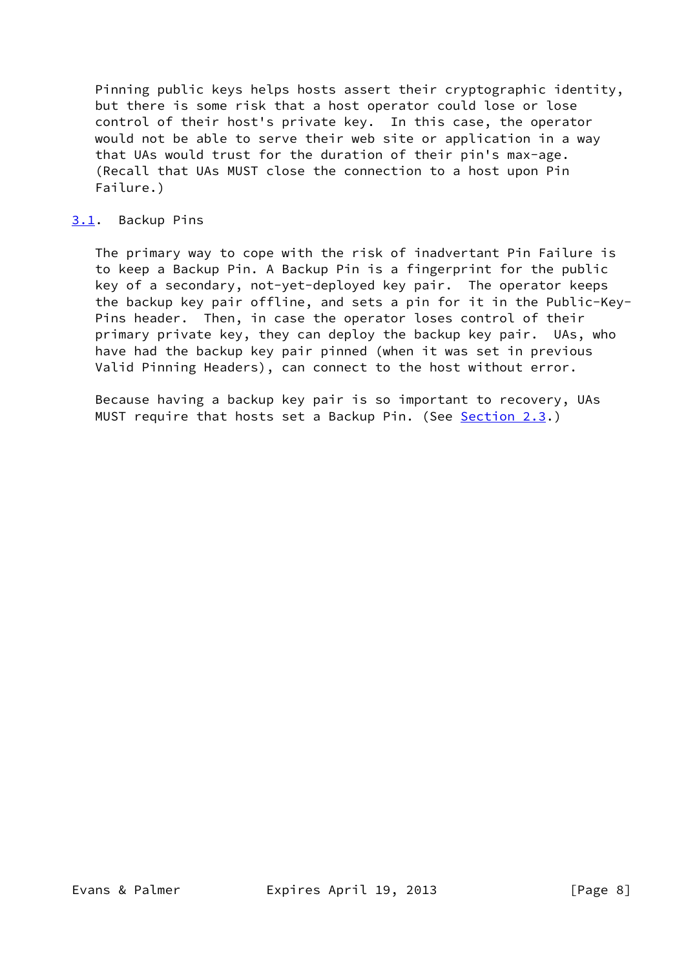Pinning public keys helps hosts assert their cryptographic identity, but there is some risk that a host operator could lose or lose control of their host's private key. In this case, the operator would not be able to serve their web site or application in a way that UAs would trust for the duration of their pin's max-age. (Recall that UAs MUST close the connection to a host upon Pin Failure.)

## <span id="page-8-0"></span>[3.1](#page-8-0). Backup Pins

 The primary way to cope with the risk of inadvertant Pin Failure is to keep a Backup Pin. A Backup Pin is a fingerprint for the public key of a secondary, not-yet-deployed key pair. The operator keeps the backup key pair offline, and sets a pin for it in the Public-Key- Pins header. Then, in case the operator loses control of their primary private key, they can deploy the backup key pair. UAs, who have had the backup key pair pinned (when it was set in previous Valid Pinning Headers), can connect to the host without error.

 Because having a backup key pair is so important to recovery, UAs MUST require that hosts set a Backup Pin. (See [Section 2.3](#page-5-0).)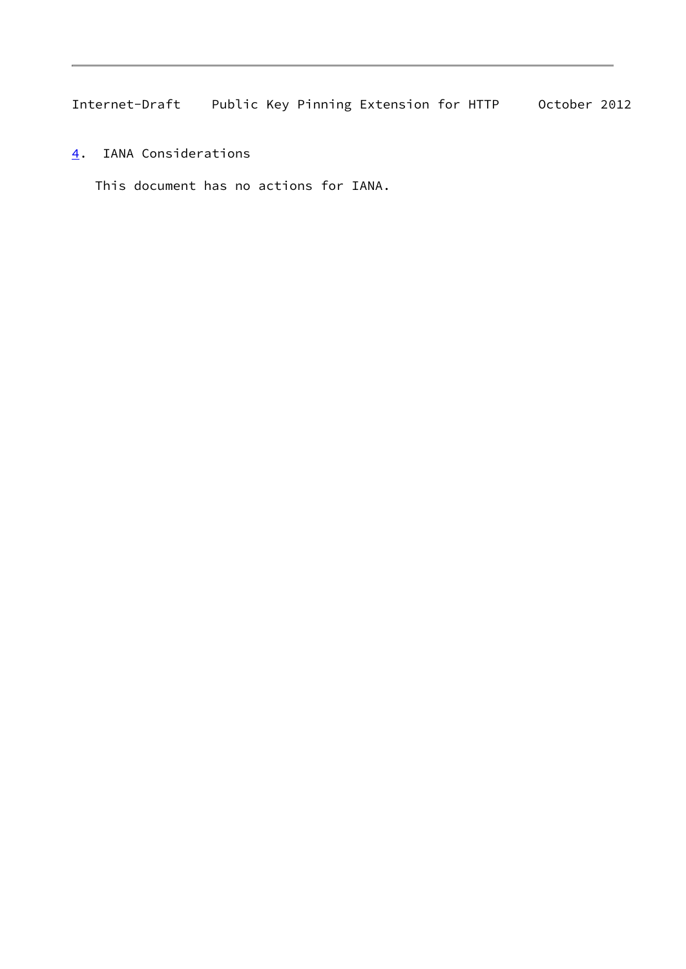<span id="page-9-0"></span>[4](#page-9-0). IANA Considerations

This document has no actions for IANA.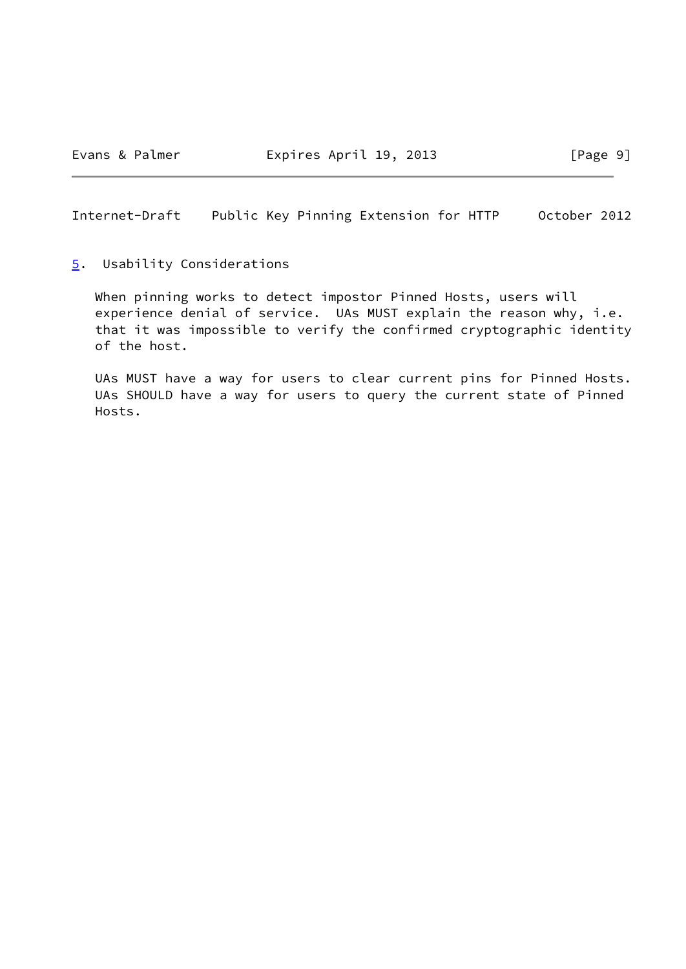<span id="page-10-0"></span>[5](#page-10-0). Usability Considerations

 When pinning works to detect impostor Pinned Hosts, users will experience denial of service. UAs MUST explain the reason why, i.e. that it was impossible to verify the confirmed cryptographic identity of the host.

 UAs MUST have a way for users to clear current pins for Pinned Hosts. UAs SHOULD have a way for users to query the current state of Pinned Hosts.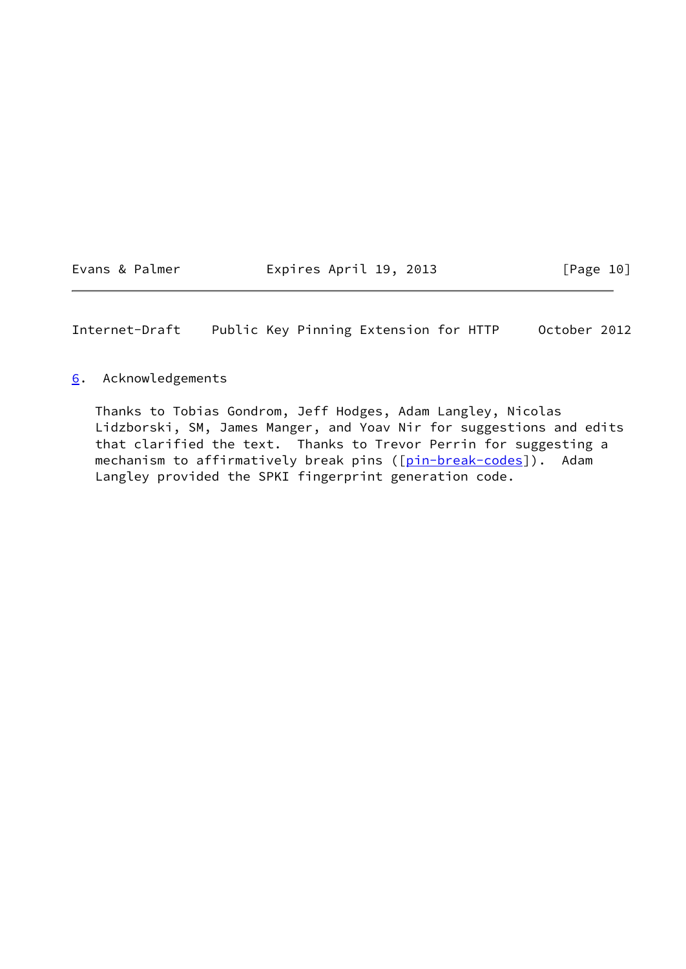Evans & Palmer **Expires April 19, 2013** [Page 10]

Internet-Draft Public Key Pinning Extension for HTTP October 2012

## <span id="page-11-0"></span>[6](#page-11-0). Acknowledgements

 Thanks to Tobias Gondrom, Jeff Hodges, Adam Langley, Nicolas Lidzborski, SM, James Manger, and Yoav Nir for suggestions and edits that clarified the text. Thanks to Trevor Perrin for suggesting a mechanism to affirmatively break pins ([\[pin-break-codes](#page-14-2)]). Adam Langley provided the SPKI fingerprint generation code.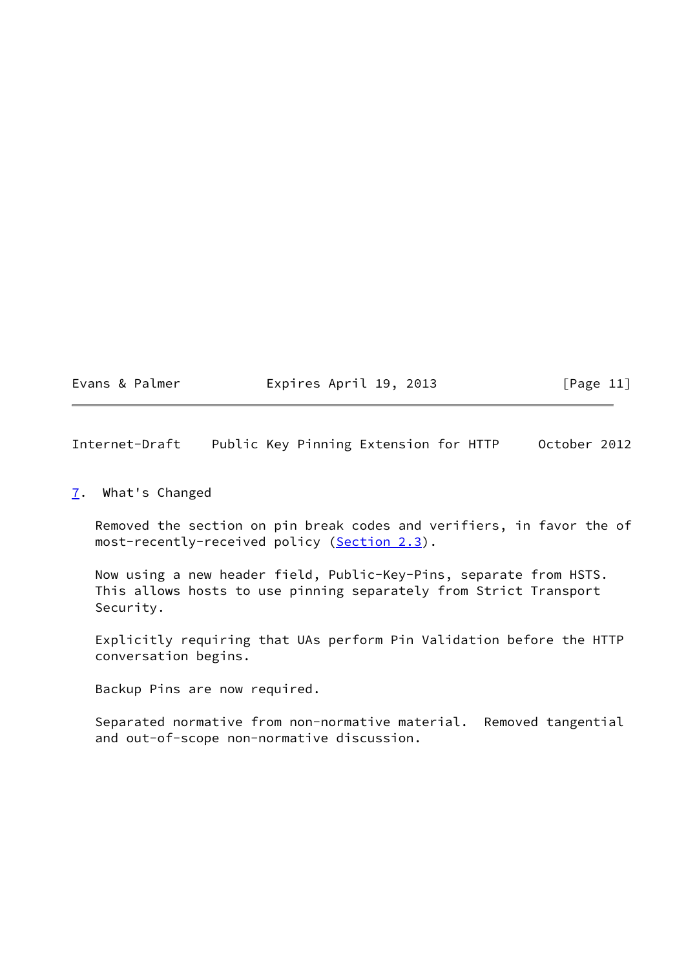Evans & Palmer **Expires April 19, 2013** [Page 11]

Internet-Draft Public Key Pinning Extension for HTTP October 2012

### <span id="page-12-0"></span>[7](#page-12-0). What's Changed

 Removed the section on pin break codes and verifiers, in favor the of most-recently-received policy ([Section 2.3](#page-5-0)).

 Now using a new header field, Public-Key-Pins, separate from HSTS. This allows hosts to use pinning separately from Strict Transport Security.

 Explicitly requiring that UAs perform Pin Validation before the HTTP conversation begins.

Backup Pins are now required.

 Separated normative from non-normative material. Removed tangential and out-of-scope non-normative discussion.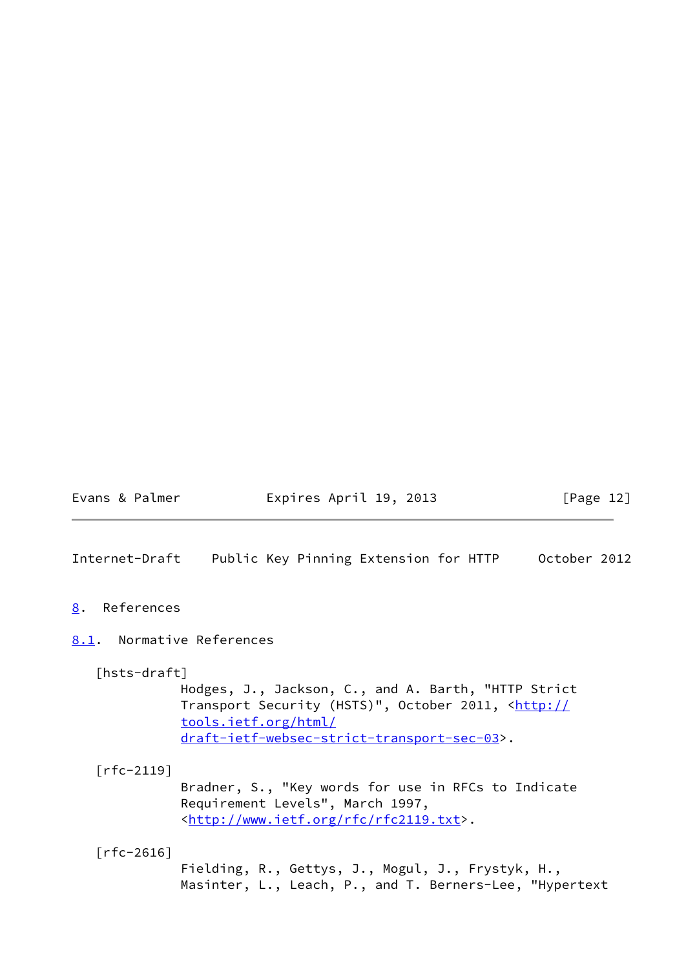Evans & Palmer **Expires April 19, 2013** [Page 12]

Internet-Draft Public Key Pinning Extension for HTTP October 2012

<span id="page-13-1"></span>[8](#page-13-1). References

## <span id="page-13-2"></span>[8.1](#page-13-2). Normative References

<span id="page-13-0"></span>[hsts-draft]

 Hodges, J., Jackson, C., and A. Barth, "HTTP Strict Transport Security (HSTS)", October 2011, [<http://](http://tools.ietf.org/html/draft-ietf-websec-strict-transport-sec-03) [tools.ietf.org/html/](http://tools.ietf.org/html/draft-ietf-websec-strict-transport-sec-03) [draft-ietf-websec-strict-transport-sec-03>](http://tools.ietf.org/html/draft-ietf-websec-strict-transport-sec-03).

[rfc-2119]

 Bradner, S., "Key words for use in RFCs to Indicate Requirement Levels", March 1997, <[http://www.ietf.org/rfc/rfc2119.txt>](http://www.ietf.org/rfc/rfc2119.txt).

[rfc-2616]

 Fielding, R., Gettys, J., Mogul, J., Frystyk, H., Masinter, L., Leach, P., and T. Berners-Lee, "Hypertext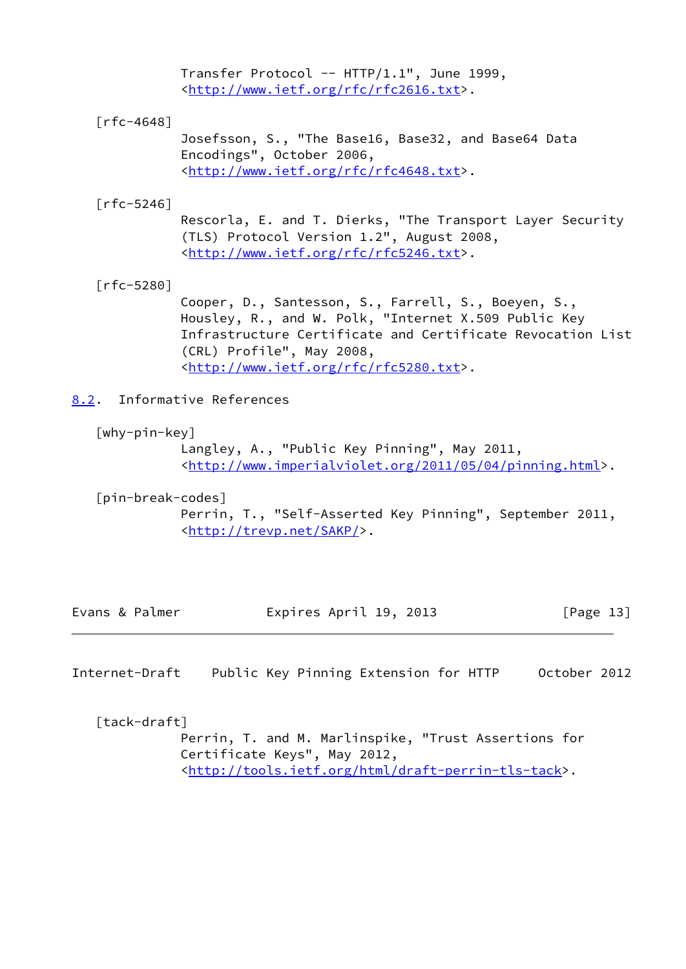Transfer Protocol -- HTTP/1.1", June 1999, <[http://www.ietf.org/rfc/rfc2616.txt>](http://www.ietf.org/rfc/rfc2616.txt).

[rfc-4648]

 Josefsson, S., "The Base16, Base32, and Base64 Data Encodings", October 2006, <[http://www.ietf.org/rfc/rfc4648.txt>](http://www.ietf.org/rfc/rfc4648.txt).

[rfc-5246]

 Rescorla, E. and T. Dierks, "The Transport Layer Security (TLS) Protocol Version 1.2", August 2008, <[http://www.ietf.org/rfc/rfc5246.txt>](http://www.ietf.org/rfc/rfc5246.txt).

[rfc-5280]

 Cooper, D., Santesson, S., Farrell, S., Boeyen, S., Housley, R., and W. Polk, "Internet X.509 Public Key Infrastructure Certificate and Certificate Revocation List (CRL) Profile", May 2008, <[http://www.ietf.org/rfc/rfc5280.txt>](http://www.ietf.org/rfc/rfc5280.txt).

<span id="page-14-3"></span>[8.2](#page-14-3). Informative References

<span id="page-14-0"></span>[why-pin-key]

 Langley, A., "Public Key Pinning", May 2011, <[http://www.imperialviolet.org/2011/05/04/pinning.html>](http://www.imperialviolet.org/2011/05/04/pinning.html).

<span id="page-14-2"></span> [pin-break-codes] Perrin, T., "Self-Asserted Key Pinning", September 2011, <<http://trevp.net/SAKP/>>.

|  | Evans & Palmer | Expires April 19, 2013 | [Page 13] |
|--|----------------|------------------------|-----------|
|--|----------------|------------------------|-----------|

Internet-Draft Public Key Pinning Extension for HTTP October 2012

<span id="page-14-1"></span>[tack-draft]

 Perrin, T. and M. Marlinspike, "Trust Assertions for Certificate Keys", May 2012, <[http://tools.ietf.org/html/draft-perrin-tls-tack>](http://tools.ietf.org/html/draft-perrin-tls-tack).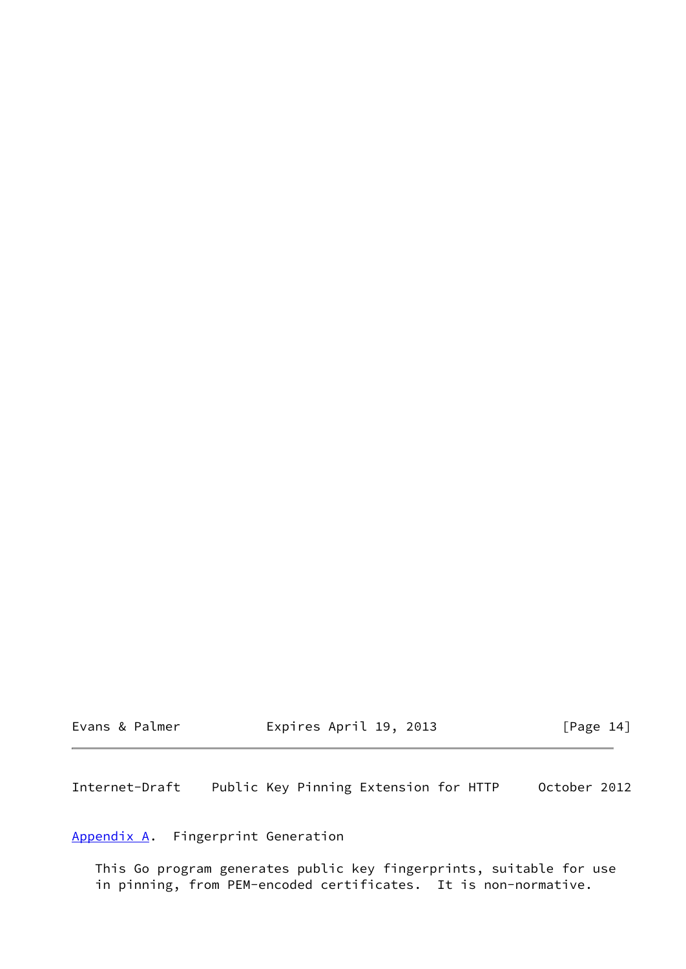| Evans & Palmer |  |  |  |
|----------------|--|--|--|
|----------------|--|--|--|

Expires April 19, 2013 [Page 14]

Internet-Draft Public Key Pinning Extension for HTTP October 2012

<span id="page-15-0"></span>[Appendix A.](#page-15-0) Fingerprint Generation

 This Go program generates public key fingerprints, suitable for use in pinning, from PEM-encoded certificates. It is non-normative.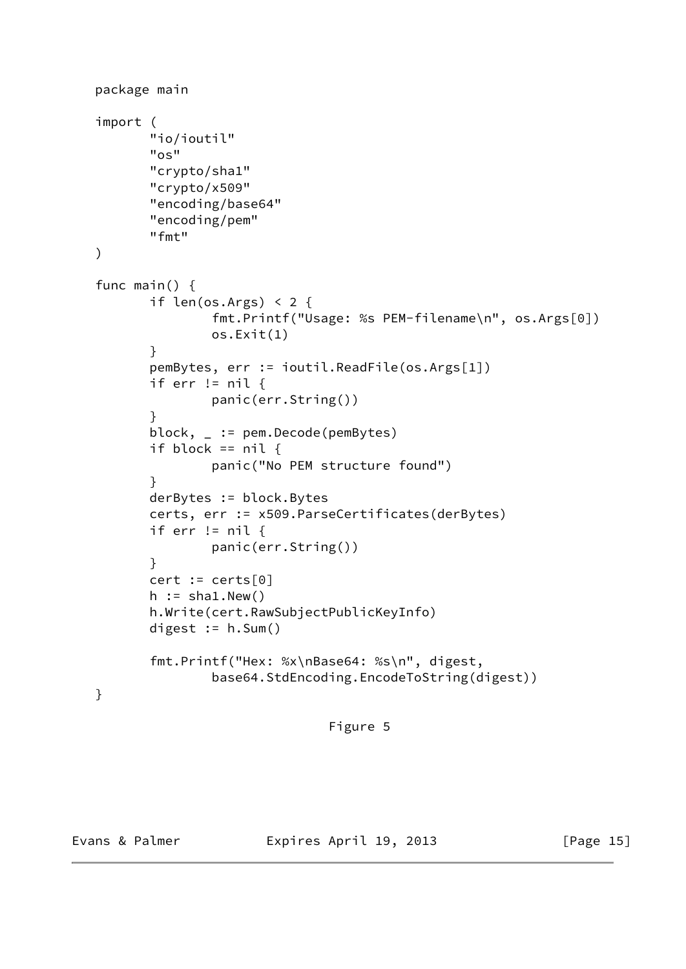```
 package main
   import (
          "io/ioutil"
          "os"
          "crypto/sha1"
          "crypto/x509"
          "encoding/base64"
          "encoding/pem"
          "fmt"
   )
   func main() {
          if len(os.Args) < 2 {
                  fmt.Printf("Usage: %s PEM-filename\n", os.Args[0])
                  os.Exit(1)
          }
          pemBytes, err := ioutil.ReadFile(os.Args[1])
         if err != nil {
                  panic(err.String())
}
          block, _ := pem.Decode(pemBytes)
         if block == nil {
                  panic("No PEM structure found")
}
          derBytes := block.Bytes
          certs, err := x509.ParseCertificates(derBytes)
          if err != nil {
                  panic(err.String())
          }
          cert := certs[0]
         h := sha1.Pew() h.Write(cert.RawSubjectPublicKeyInfo)
         digest := h.Sum() fmt.Printf("Hex: %x\nBase64: %s\n", digest,
                  base64.StdEncoding.EncodeToString(digest))
  }
```

```
 Figure 5
```
Evans & Palmer **Expires April 19, 2013** [Page 15]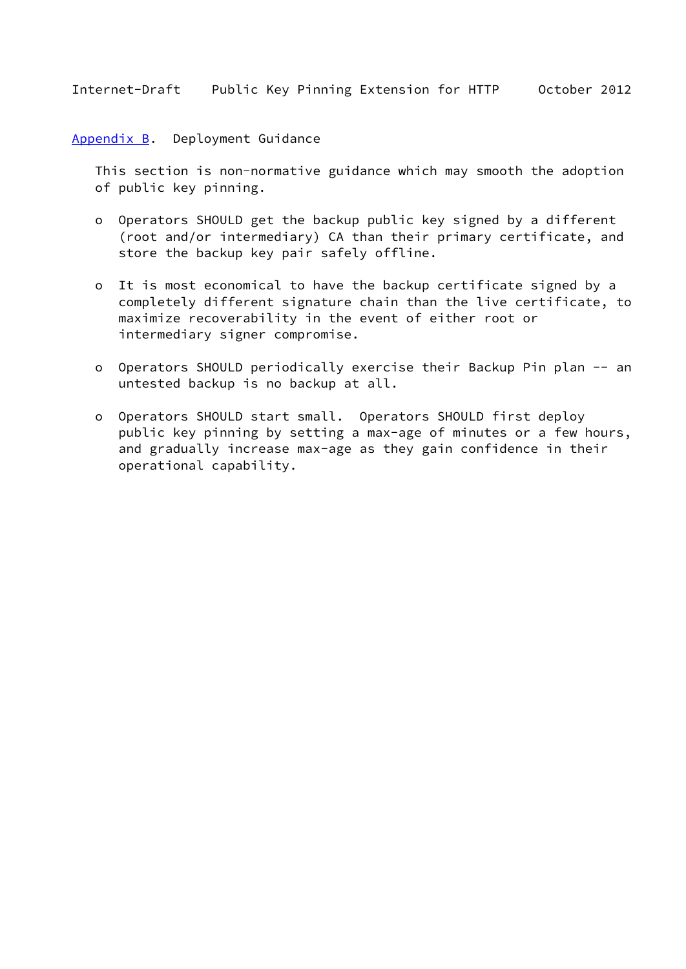<span id="page-17-0"></span>[Appendix B.](#page-17-0) Deployment Guidance

 This section is non-normative guidance which may smooth the adoption of public key pinning.

- o Operators SHOULD get the backup public key signed by a different (root and/or intermediary) CA than their primary certificate, and store the backup key pair safely offline.
- o It is most economical to have the backup certificate signed by a completely different signature chain than the live certificate, to maximize recoverability in the event of either root or intermediary signer compromise.
- o Operators SHOULD periodically exercise their Backup Pin plan -- an untested backup is no backup at all.
- o Operators SHOULD start small. Operators SHOULD first deploy public key pinning by setting a max-age of minutes or a few hours, and gradually increase max-age as they gain confidence in their operational capability.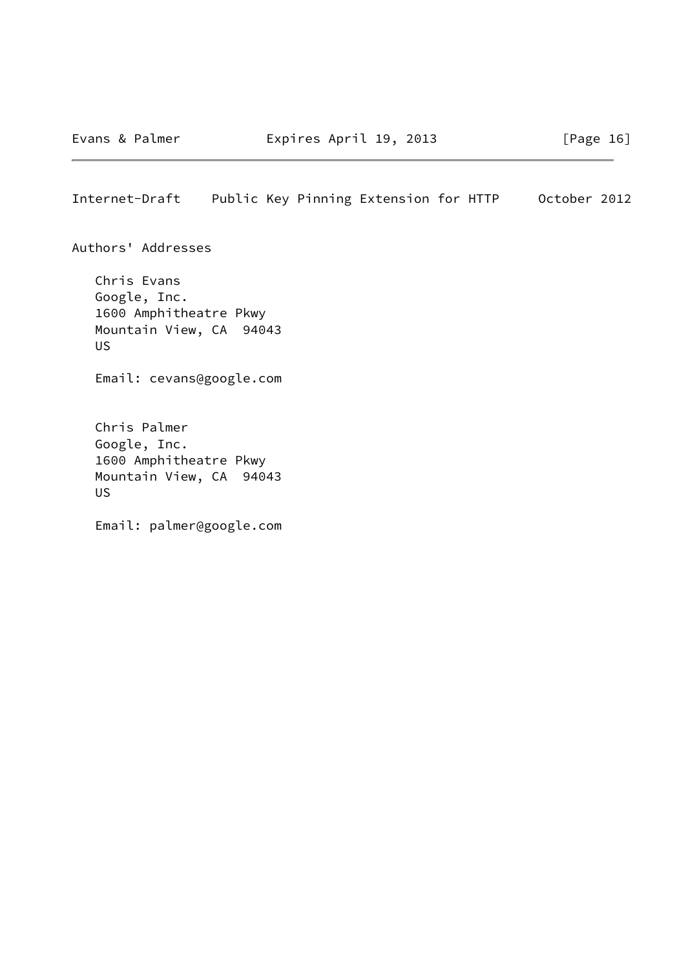Authors' Addresses

 Chris Evans Google, Inc. 1600 Amphitheatre Pkwy Mountain View, CA 94043 US

Email: cevans@google.com

 Chris Palmer Google, Inc. 1600 Amphitheatre Pkwy Mountain View, CA 94043 US

Email: palmer@google.com